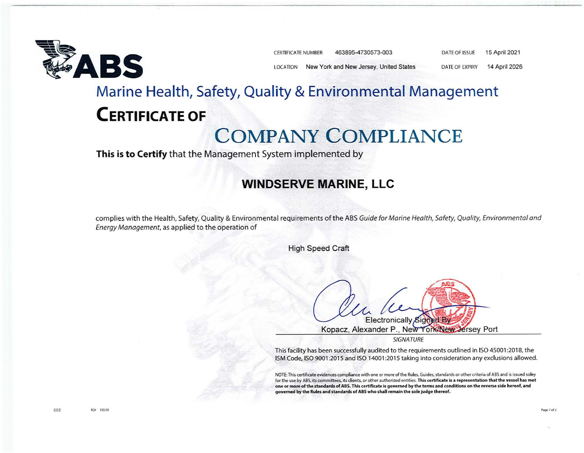

CERTIFICATE NUMBER 463895-4730573-003 DATE OF ISSUE 15 April 2021<br>LOCATION New York and New Jersey, United States DATE OF EXPIRY 14 April 2026 LOCATION New York and New Jersey, United States DATE OF EXPIRY 14 April 2026

# **Marine Health, Safety, Quality & Environmental Management CERTIFICATE OF**

## **COMPANY COMPLIANCE**

**This is to Certify** that the Management System implemented by

#### **WINDSERVE MARINE, LLC**

complies with the Health, Safety, Quality & Environmental requirements of the ABS Guide for Marine Health, Safety, Quality, Environmental and Energy Management, as applied to the operation of

High Speed Craft

Electronically Signed By Kopacz, Alexander P., New York/New Jersey Port

**SIGNATURE** 

This facility has been successfully audited to the requirements outlined in ISO 45001:2018, the ISM Code, ISO 9001:2015 and ISO 14001:2015 taking into consideration any exclusions allowed.

NOTE: This certificate evidences compliance with one or more of the Rules, Guides, standards or other criteria of ABS and is issued soley for the use by ABS, its committees, its clients, or other authorized entities. This certificate is a representation that the vessel has met one or more of the standards of ABS. This certificate is governed by the terms and conditions on the reverse side hereof, and governed by the Rules and standards of ABS who shall remain the sole judge thereof.